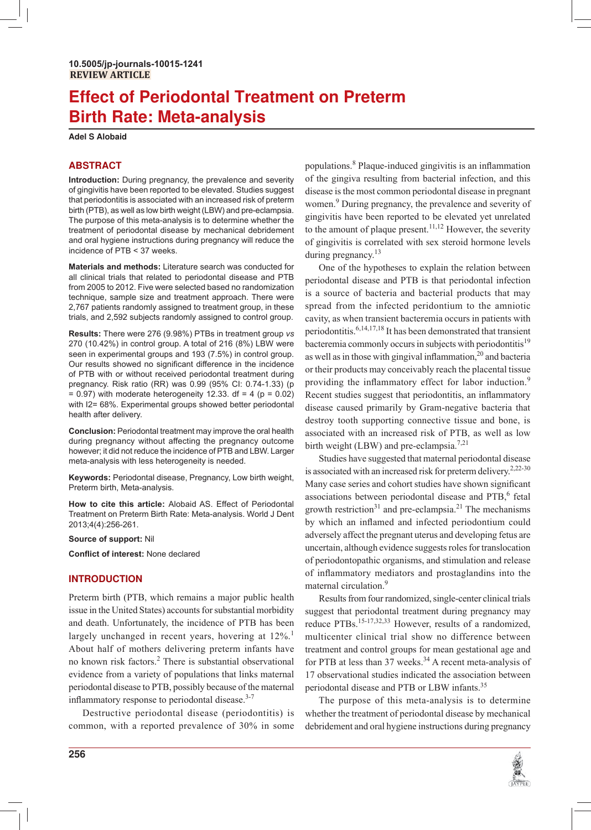# **Effect of Periodontal Treatment on Preterm Birth Rate: Meta-analysis**

**Adel S Alobaid** 

# **ABSTRACT**

**Introduction:** During pregnancy, the prevalence and severity of gingivitis have been reported to be elevated. Studies suggest that periodontitis is associated with an increased risk of preterm birth (PTB), as well as low birth weight (LBW) and pre-eclampsia. The purpose of this meta-analysis is to determine whether the treatment of periodontal disease by mechanical debridement and oral hygiene instructions during pregnancy will reduce the incidence of PTB < 37 weeks.

**Materials and methods:** Literature search was conducted for all clinical trials that related to periodontal disease and PTB from 2005 to 2012. Five were selected based no randomization technique, sample size and treatment approach. There were 2,767 patients randomly assigned to treatment group, in these trials, and 2,592 subjects randomly assigned to control group.

**Results:** There were 276 (9.98%) PTBs in treatment group *vs*  270 (10.42%) in control group. A total of 216 (8%) LBW were seen in experimental groups and 193 (7.5%) in control group. Our results showed no significant difference in the incidence of PTB with or without received periodontal treatment during pregnancy. Risk ratio (RR) was 0.99 (95% CI: 0.74-1.33) (p  $= 0.97$ ) with moderate heterogeneity 12.33. df  $= 4$  (p  $= 0.02$ ) with I2= 68%. Experimental groups showed better periodontal health after delivery.

**Conclusion:** Periodontal treatment may improve the oral health during pregnancy without affecting the pregnancy outcome however; it did not reduce the incidence of PTB and LBW. Larger meta-analysis with less heterogeneity is needed.

**Keywords:** Periodontal disease, Pregnancy, Low birth weight, Preterm birth, Meta-analysis.

**How to cite this article:** Alobaid AS. Effect of Periodontal Treatment on Preterm Birth Rate: Meta-analysis. World J Dent 2013;4(4):256-261.

**Source of support:** Nil

**Conflict of interest: None declared** 

## **INTRODUCTION**

Preterm birth (PTB, which remains a major public health issue in the United States) accounts for substantial morbidity and death. Unfortunately, the incidence of PTB has been largely unchanged in recent years, hovering at 12%.<sup>1</sup> About half of mothers delivering preterm infants have no known risk factors.<sup>2</sup> There is substantial observational evidence from a variety of populations that links maternal periodontal disease to PTB, possibly because of the maternal inflammatory response to periodontal disease. $3-7$ 

Destructive periodontal disease (periodontitis) is common, with a reported prevalence of 30% in some

populations.<sup>8</sup> Plaque-induced gingivitis is an inflammation of the gingiva resulting from bacterial infection, and this disease is the most common periodontal disease in pregnant women.<sup>9</sup> During pregnancy, the prevalence and severity of gingivitis have been reported to be elevated yet unrelated to the amount of plaque present.<sup>11,12</sup> However, the severity of gingivitis is correlated with sex steroid hormone levels during pregnancy. $13$ 

One of the hypotheses to explain the relation between periodontal disease and PTB is that periodontal infection is a source of bacteria and bacterial products that may spread from the infected peridontium to the amniotic cavity, as when transient bacteremia occurs in patients with periodontitis.6,14,17,18 It has been demonstrated that transient bacteremia commonly occurs in subjects with periodontitis<sup>19</sup> as well as in those with gingival inflammation,<sup>20</sup> and bacteria or their products may conceivably reach the placental tissue providing the inflammatory effect for labor induction.<sup>9</sup> Recent studies suggest that periodontitis, an inflammatory disease caused primarily by Gram-negative bacteria that destroy tooth supporting connective tissue and bone, is associated with an increased risk of PTB, as well as low birth weight (LBW) and pre-eclampsia.<sup>7,21</sup>

Studies have suggested that maternal periodontal disease is associated with an increased risk for preterm delivery.<sup>2,22-30</sup> Many case series and cohort studies have shown significant associations between periodontal disease and PTB,<sup>6</sup> fetal growth restriction<sup>31</sup> and pre-eclampsia.<sup>21</sup> The mechanisms by which an inflamed and infected periodontium could adversely affect the pregnant uterus and developing fetus are uncertain, although evidence suggests roles for translocation of periodontopathic organisms, and stimulation and release of inflammatory mediators and prostaglandins into the maternal circulation.<sup>9</sup>

Results from four randomized, single-center clinical trials suggest that periodontal treatment during pregnancy may reduce PTBs.<sup>15-17,32,33</sup> However, results of a randomized, multicenter clinical trial show no difference between treatment and control groups for mean gestational age and for PTB at less than 37 weeks. $34$  A recent meta-analysis of 17 observational studies indicated the association between periodontal disease and PTB or LBW infants.<sup>35</sup>

The purpose of this meta-analysis is to determine whether the treatment of periodontal disease by mechanical debridement and oral hygiene instructions during pregnancy

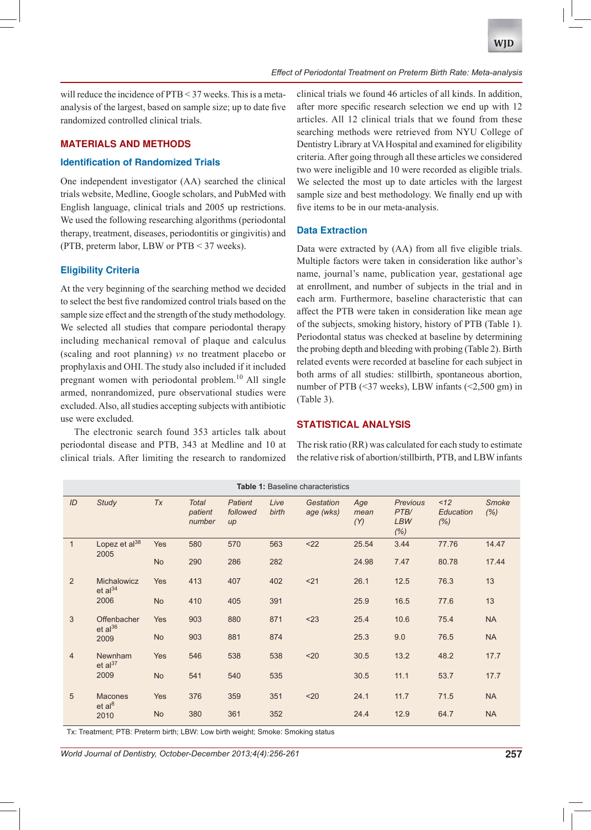will reduce the incidence of PTB < 37 weeks. This is a metaanalysis of the largest, based on sample size; up to date five randomized controlled clinical trials.

# **MATERIALS AND METHODS**

#### **Identification of Randomized Trials**

One independent investigator (AA) searched the clinical trials website, Medline, Google scholars, and PubMed with English language, clinical trials and 2005 up restrictions. We used the following researching algorithms (periodontal therapy, treatment, diseases, periodontitis or gingivitis) and (PTB, preterm labor, LBW or PTB < 37 weeks).

## **Eligibility Criteria**

At the very beginning of the searching method we decided to select the best five randomized control trials based on the sample size effect and the strength of the study methodology. We selected all studies that compare periodontal therapy including mechanical removal of plaque and calculus (scaling and root planning) *vs* no treatment placebo or prophylaxis and OHI. The study also included if it included pregnant women with periodontal problem.<sup>10</sup> All single armed, nonrandomized, pure observational studies were excluded. Also, all studies accepting subjects with antibiotic use were excluded.

The electronic search found 353 articles talk about periodontal disease and PTB, 343 at Medline and 10 at clinical trials. After limiting the research to randomized clinical trials we found 46 articles of all kinds. In addition, after more specific research selection we end up with 12 articles. All 12 clinical trials that we found from these searching methods were retrieved from NYU College of Dentistry Library at VA Hospital and examined for eligibility criteria. After going through all these articles we considered two were ineligible and 10 were recorded as eligible trials. We selected the most up to date articles with the largest sample size and best methodology. We finally end up with five items to be in our meta-analysis.

#### **Data Extraction**

Data were extracted by (AA) from all five eligible trials. Multiple factors were taken in consideration like author's name, journal's name, publication year, gestational age at enrollment, and number of subjects in the trial and in each arm. Furthermore, baseline characteristic that can affect the PTB were taken in consideration like mean age of the subjects, smoking history, history of PTB (Table 1). Periodontal status was checked at baseline by determining the probing depth and bleeding with probing (Table 2). Birth related events were recorded at baseline for each subject in both arms of all studies: stillbirth, spontaneous abortion, number of PTB (<37 weeks), LBW infants (<2,500 gm) in (Table 3).

#### **STATISTICAL ANALYSIS**

The risk ratio (RR) was calculated for each study to estimate the relative risk of abortion/stillbirth, PTB, and LBW infants

| <b>Table 1: Baseline characteristics</b> |                                            |           |                                   |                              |               |                        |                    |                                               |                          |                      |
|------------------------------------------|--------------------------------------------|-----------|-----------------------------------|------------------------------|---------------|------------------------|--------------------|-----------------------------------------------|--------------------------|----------------------|
| ID                                       | <b>Study</b>                               | Tx        | <b>Total</b><br>patient<br>number | Patient<br>followed<br>$\mu$ | Live<br>birth | Gestation<br>age (wks) | Age<br>mean<br>(Y) | <b>Previous</b><br>PTB/<br><b>LBW</b><br>(% ) | <12<br>Education<br>(% ) | <b>Smoke</b><br>(% ) |
| $\mathbf{1}$                             | Lopez et al <sup>38</sup><br>2005          | Yes       | 580                               | 570                          | 563           | < 22                   | 25.54              | 3.44                                          | 77.76                    | 14.47                |
|                                          |                                            | <b>No</b> | 290                               | 286                          | 282           |                        | 24.98              | 7.47                                          | 80.78                    | 17.44                |
| 2                                        | Michalowicz<br>et al <sup>34</sup><br>2006 | Yes       | 413                               | 407                          | 402           | < 21                   | 26.1               | 12.5                                          | 76.3                     | 13                   |
|                                          |                                            | <b>No</b> | 410                               | 405                          | 391           |                        | 25.9               | 16.5                                          | 77.6                     | 13                   |
| 3                                        | Offenbacher<br>$et al^{36}$<br>2009        | Yes       | 903                               | 880                          | 871           | < 23                   | 25.4               | 10.6                                          | 75.4                     | <b>NA</b>            |
|                                          |                                            | <b>No</b> | 903                               | 881                          | 874           |                        | 25.3               | 9.0                                           | 76.5                     | <b>NA</b>            |
| $\overline{4}$                           | Newnham<br>et al <sup>37</sup><br>2009     | Yes       | 546                               | 538                          | 538           | $20$                   | 30.5               | 13.2                                          | 48.2                     | 17.7                 |
|                                          |                                            | <b>No</b> | 541                               | 540                          | 535           |                        | 30.5               | 11.1                                          | 53.7                     | 17.7                 |
| 5                                        | <b>Macones</b><br>et al <sup>8</sup>       | Yes       | 376                               | 359                          | 351           | $20$                   | 24.1               | 11.7                                          | 71.5                     | <b>NA</b>            |
|                                          | 2010                                       | <b>No</b> | 380                               | 361                          | 352           |                        | 24.4               | 12.9                                          | 64.7                     | <b>NA</b>            |

Tx: Treatment; PTB: Preterm birth; LBW: Low birth weight; Smoke: Smoking status

*World Journal of Dentistry, October-December 2013;4(4):256-261* **257**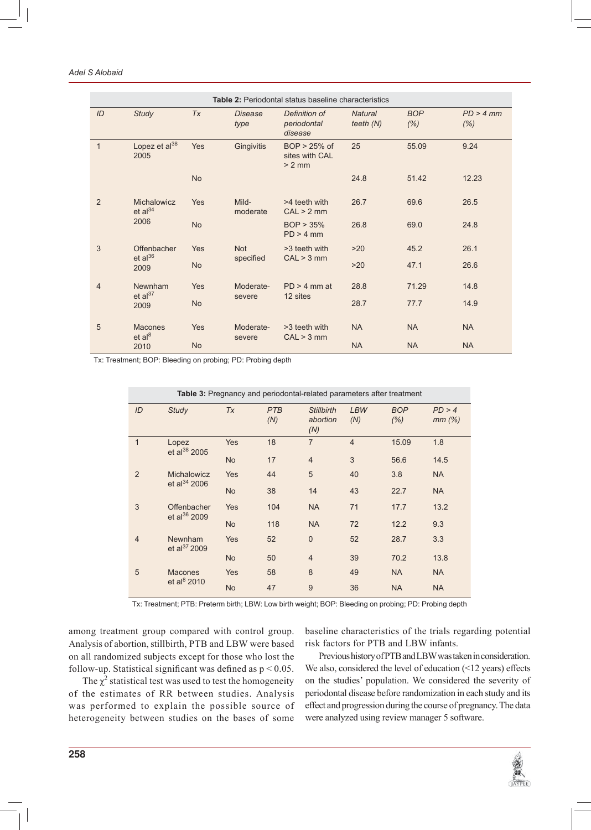| Table 2: Periodontal status baseline characteristics |                                              |            |                        |                                              |                               |                    |                   |
|------------------------------------------------------|----------------------------------------------|------------|------------------------|----------------------------------------------|-------------------------------|--------------------|-------------------|
| ID                                                   | <b>Study</b>                                 | <b>Tx</b>  | <b>Disease</b><br>type | Definition of<br>periodontal<br>disease      | <b>Natural</b><br>teeth $(N)$ | <b>BOP</b><br>(% ) | PD > 4 mm<br>(% ) |
| $\mathbf{1}$                                         | Lopez et al <sup>38</sup><br>2005            | <b>Yes</b> | Gingivitis             | $BOP > 25%$ of<br>sites with CAL<br>$> 2$ mm | 25                            | 55.09              | 9.24              |
|                                                      |                                              | <b>No</b>  |                        |                                              | 24.8                          | 51.42              | 12.23             |
| 2                                                    | Michalowicz<br>et al <sup>34</sup><br>2006   | Yes        | Mild-<br>moderate      | >4 teeth with<br>CAL > 2 mm                  | 26.7                          | 69.6               | 26.5              |
|                                                      |                                              | <b>No</b>  |                        | BOP > 35%<br>$PD > 4$ mm                     | 26.8                          | 69.0               | 24.8              |
| 3                                                    | Offenbacher<br>$et al^{36}$<br>2009          | Yes        | <b>Not</b>             | >3 teeth with                                | $>20$                         | 45.2               | 26.1              |
|                                                      |                                              | <b>No</b>  | specified              | CAL > 3 mm                                   | >20                           | 47.1               | 26.6              |
| $\overline{4}$                                       | Newnham<br>et al <sup>37</sup><br>2009       | Yes        | Moderate-              | $PD > 4$ mm at<br>12 sites                   | 28.8                          | 71.29              | 14.8              |
|                                                      |                                              | <b>No</b>  | severe                 |                                              | 28.7                          | 77.7               | 14.9              |
| 5                                                    | <b>Macones</b><br>et al <sup>8</sup><br>2010 | Yes        | Moderate-<br>severe    | >3 teeth with<br>CAL > 3 mm                  | <b>NA</b>                     | <b>NA</b>          | <b>NA</b>         |
|                                                      |                                              | <b>No</b>  |                        |                                              | <b>NA</b>                     | <b>NA</b>          | <b>NA</b>         |

Tx: Treatment; BOP: Bleeding on probing; PD: Probing depth

| Table 3: Pregnancy and periodontal-related parameters after treatment |                                         |            |                   |                                      |                   |                    |                    |
|-----------------------------------------------------------------------|-----------------------------------------|------------|-------------------|--------------------------------------|-------------------|--------------------|--------------------|
| ID                                                                    | <b>Study</b>                            | <b>Tx</b>  | <b>PTB</b><br>(N) | <b>Stillbirth</b><br>abortion<br>(N) | <b>LBW</b><br>(N) | <b>BOP</b><br>(% ) | PD > 4<br>$mm$ (%) |
| $\mathbf{1}$                                                          | Lopez<br>et al $^{38}$ 2005             | <b>Yes</b> | 18                | $\overline{7}$                       | $\overline{4}$    | 15.09              | 1.8                |
|                                                                       |                                         | <b>No</b>  | 17                | $\overline{4}$                       | 3                 | 56.6               | 14.5               |
| $\overline{2}$                                                        | Michalowicz<br>et al <sup>34</sup> 2006 | <b>Yes</b> | 44                | 5                                    | 40                | 3.8                | <b>NA</b>          |
|                                                                       |                                         | <b>No</b>  | 38                | 14                                   | 43                | 22.7               | <b>NA</b>          |
| 3                                                                     | Offenbacher<br>et al <sup>36</sup> 2009 | <b>Yes</b> | 104               | <b>NA</b>                            | 71                | 17.7               | 13.2               |
|                                                                       |                                         | <b>No</b>  | 118               | <b>NA</b>                            | 72                | 12.2               | 9.3                |
| $\overline{4}$                                                        | Newnham<br>et al <sup>37</sup> 2009     | <b>Yes</b> | 52                | $\mathbf{0}$                         | 52                | 28.7               | 3.3                |
|                                                                       |                                         | <b>No</b>  | 50                | $\overline{4}$                       | 39                | 70.2               | 13.8               |
| 5                                                                     | <b>Macones</b><br>et al $8$ 2010        | <b>Yes</b> | 58                | 8                                    | 49                | <b>NA</b>          | <b>NA</b>          |
|                                                                       |                                         | <b>No</b>  | 47                | 9                                    | 36                | <b>NA</b>          | <b>NA</b>          |

Tx: Treatment; PTB: Preterm birth; LBW: Low birth weight; BOP: Bleeding on probing; PD: Probing depth

among treatment group compared with control group. Analysis of abortion, stillbirth, PTB and LBW were based on all randomized subjects except for those who lost the follow-up. Statistical significant was defined as  $p < 0.05$ .

The  $\chi^2$  statistical test was used to test the homogeneity of the estimates of RR between studies. Analysis was performed to explain the possible source of heterogeneity between studies on the bases of some

baseline characteristics of the trials regarding potential risk factors for PTB and LBW infants.

Previous history of PTB and LBW was taken in consideration. We also, considered the level of education (<12 years) effects on the studies' population. We considered the severity of periodontal disease before randomization in each study and its effect and progression during the course of pregnancy. The data were analyzed using review manager 5 software.

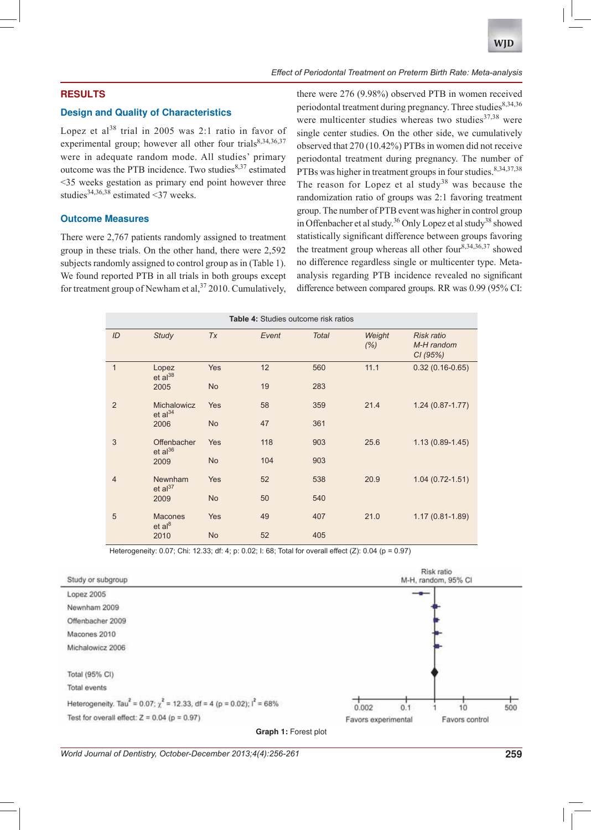## **RESULTS**

#### **Design and Quality of Characteristics**

Lopez et al<sup>38</sup> trial in 2005 was 2:1 ratio in favor of experimental group; however all other four trials<sup>8,34,36,37</sup> were in adequate random mode. All studies' primary outcome was the PTB incidence. Two studies $8,37$  estimated <35 weeks gestation as primary end point however three studies<sup>34,36,38</sup> estimated <37 weeks.

## **Outcome Measures**

There were 2,767 patients randomly assigned to treatment group in these trials. On the other hand, there were 2,592 subjects randomly assigned to control group as in (Table 1). We found reported PTB in all trials in both groups except for treatment group of Newham et al,  $37$  2010. Cumulatively,

there were 276 (9.98%) observed PTB in women received periodontal treatment during pregnancy. Three studies $8,34,36$ were multicenter studies whereas two studies $37,38$  were single center studies. On the other side, we cumulatively observed that 270 (10.42%) PTBs in women did not receive periodontal treatment during pregnancy. The number of PTBs was higher in treatment groups in four studies. 8,34,37,38 The reason for Lopez et al study<sup>38</sup> was because the randomization ratio of groups was 2:1 favoring treatment group. The number of PTB event was higher in control group in Offenbacher et al study.<sup>36</sup> Only Lopez et al study<sup>38</sup> showed statistically significant difference between groups favoring the treatment group whereas all other four<sup>8,34,36,37</sup> showed no difference regardless single or multicenter type. Metaanalysis regarding PTB incidence revealed no significant difference between compared groups. RR was 0.99 (95% CI:

| <b>Table 4: Studies outcome risk ratios</b> |                              |            |       |              |                |                                     |  |  |
|---------------------------------------------|------------------------------|------------|-------|--------------|----------------|-------------------------------------|--|--|
| ID                                          | <b>Study</b>                 | Tx         | Event | <b>Total</b> | Weight<br>(% ) | Risk ratio<br>M-H random<br>CI(95%) |  |  |
| $\mathbf{1}$                                | Lopez<br>$et al^{38}$        | Yes        | 12    | 560          | 11.1           | $0.32(0.16-0.65)$                   |  |  |
|                                             | 2005                         | <b>No</b>  | 19    | 283          |                |                                     |  |  |
| 2                                           | Michalowicz<br>et al $^{34}$ | <b>Yes</b> | 58    | 359          | 21.4           | $1.24(0.87 - 1.77)$                 |  |  |
|                                             | 2006                         | <b>No</b>  | 47    | 361          |                |                                     |  |  |
| 3                                           | Offenbacher<br>$et al^{36}$  | <b>Yes</b> | 118   | 903          | 25.6           | $1.13(0.89-1.45)$                   |  |  |
|                                             | 2009                         | <b>No</b>  | 104   | 903          |                |                                     |  |  |
| $\overline{4}$                              | Newnham<br>et al $^{37}$     | <b>Yes</b> | 52    | 538          | 20.9           | $1.04(0.72 - 1.51)$                 |  |  |
|                                             | 2009                         | <b>No</b>  | 50    | 540          |                |                                     |  |  |
| 5                                           | <b>Macones</b><br>et al $8$  | <b>Yes</b> | 49    | 407          | 21.0           | $1.17(0.81 - 1.89)$                 |  |  |
|                                             | 2010                         | <b>No</b>  | 52    | 405          |                |                                     |  |  |

Heterogeneity: 0.07; Chi: 12.33; df: 4; p: 0.02; I: 68; Total for overall effect (Z): 0.04 (p = 0.97)



**Graph 1:** Forest plot

*World Journal of Dentistry, October-December 2013;4(4):256-261* **259**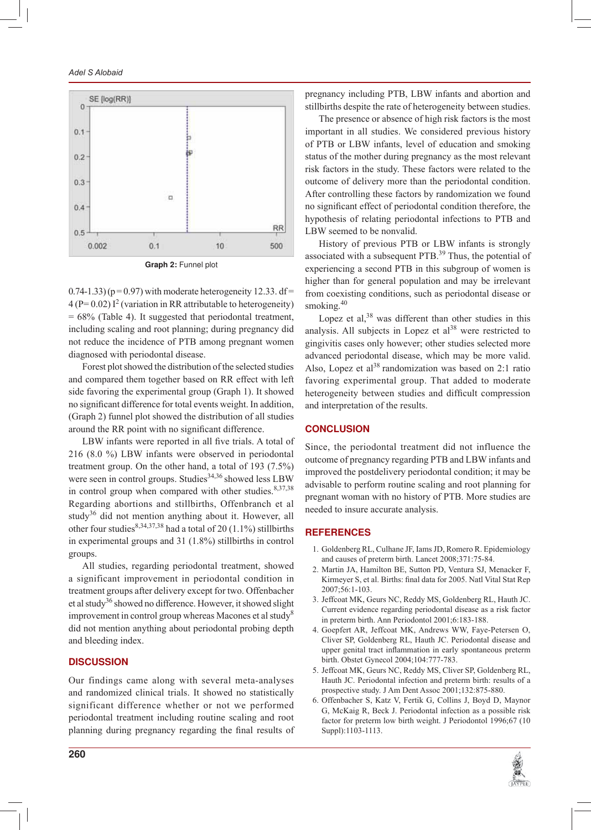## *Adel S Alobaid*



 $(0.74-1.33)$  (p = 0.97) with moderate heterogeneity 12.33. df =  $4 (P= 0.02) I<sup>2</sup>$  (variation in RR attributable to heterogeneity) = 68% (Table 4). It suggested that periodontal treatment, including scaling and root planning; during pregnancy did not reduce the incidence of PTB among pregnant women diagnosed with periodontal disease.

Forest plot showed the distribution of the selected studies and compared them together based on RR effect with left side favoring the experimental group (Graph 1). It showed no significant difference for total events weight. In addition, (Graph 2) funnel plot showed the distribution of all studies around the RR point with no significant difference.

LBW infants were reported in all five trials. A total of 216 (8.0 %) LBW infants were observed in periodontal treatment group. On the other hand, a total of 193 (7.5%) were seen in control groups. Studies<sup>34,36</sup> showed less LBW in control group when compared with other studies.<sup>8,37,38</sup> Regarding abortions and stillbirths, Offenbranch et al study<sup>36</sup> did not mention anything about it. However, all other four studies<sup>8,34,37,38</sup> had a total of 20 (1.1%) stillbirths in experimental groups and 31 (1.8%) stillbirths in control groups.

All studies, regarding periodontal treatment, showed a significant improvement in periodontal condition in treatment groups after delivery except for two. Offenbacher et al study<sup>36</sup> showed no difference. However, it showed slight improvement in control group whereas Macones et al study<sup>8</sup> did not mention anything about periodontal probing depth and bleeding index.

## **DISCUSSION**

Our findings came along with several meta-analyses and randomized clinical trials. It showed no statistically significant difference whether or not we performed periodontal treatment including routine scaling and root planning during pregnancy regarding the final results of pregnancy including PTB, LBW infants and abortion and stillbirths despite the rate of heterogeneity between studies.

The presence or absence of high risk factors is the most important in all studies. We considered previous history of PTB or LBW infants, level of education and smoking status of the mother during pregnancy as the most relevant risk factors in the study. These factors were related to the outcome of delivery more than the periodontal condition. After controlling these factors by randomization we found no significant effect of periodontal condition therefore, the hypothesis of relating periodontal infections to PTB and LBW seemed to be nonvalid.

History of previous PTB or LBW infants is strongly associated with a subsequent PTB.<sup>39</sup> Thus, the potential of experiencing a second PTB in this subgroup of women is higher than for general population and may be irrelevant from coexisting conditions, such as periodontal disease or smoking.<sup>40</sup>

Lopez et al, $38$  was different than other studies in this analysis. All subjects in Lopez et  $al<sup>38</sup>$  were restricted to gingivitis cases only however; other studies selected more advanced periodontal disease, which may be more valid. Also, Lopez et al<sup>38</sup> randomization was based on 2:1 ratio favoring experimental group. That added to moderate heterogeneity between studies and difficult compression and interpretation of the results.

## **CONCLUSION**

Since, the periodontal treatment did not influence the outcome of pregnancy regarding PTB and LBW infants and improved the postdelivery periodontal condition; it may be advisable to perform routine scaling and root planning for pregnant woman with no history of PTB. More studies are needed to insure accurate analysis.

#### **REFERENCES**

- 1. Goldenberg RL, Culhane JF, Iams JD, Romero R. Epidemiology and causes of preterm birth. Lancet 2008;371:75-84.
- 2. Martin JA, Hamilton BE, Sutton PD, Ventura SJ, Menacker F, Kirmeyer S, et al. Births: final data for 2005. Natl Vital Stat Rep 2007;56:1-103.
- 3. Jeffcoat MK, Geurs NC, Reddy MS, Goldenberg RL, Hauth JC. Current evidence regarding periodontal disease as a risk factor in preterm birth. Ann Periodontol 2001;6:183-188.
- 4. Goepfert AR, Jeffcoat MK, Andrews WW, Faye-Petersen O, Cliver SP, Goldenberg RL, Hauth JC. Periodontal disease and upper genital tract inflammation in early spontaneous preterm birth. Obstet Gynecol 2004;104:777-783.
- 5. Jeffcoat MK, Geurs NC, Reddy MS, Cliver SP, Goldenberg RL, Hauth JC. Periodontal infection and preterm birth: results of a prospective study. J Am Dent Assoc 2001;132:875-880.
- 6. Offenbacher S, Katz V, Fertik G, Collins J, Boyd D, Maynor G, McKaig R, Beck J. Periodontal infection as a possible risk factor for preterm low birth weight. J Periodontol 1996;67 (10 Suppl):1103-1113.